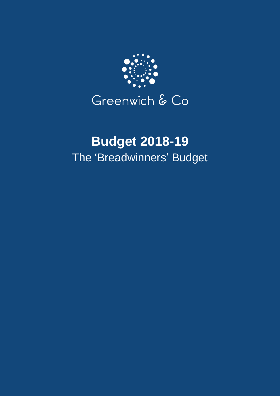

# **Budget 2018-19** The 'Breadwinners' Budget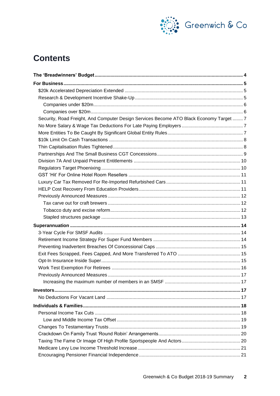

## **Contents**

| Security, Road Freight, And Computer Design Services Become ATO Black Economy Target  7 |  |
|-----------------------------------------------------------------------------------------|--|
|                                                                                         |  |
|                                                                                         |  |
|                                                                                         |  |
|                                                                                         |  |
|                                                                                         |  |
|                                                                                         |  |
|                                                                                         |  |
|                                                                                         |  |
|                                                                                         |  |
|                                                                                         |  |
|                                                                                         |  |
|                                                                                         |  |
|                                                                                         |  |
|                                                                                         |  |
|                                                                                         |  |
|                                                                                         |  |
|                                                                                         |  |
|                                                                                         |  |
|                                                                                         |  |
|                                                                                         |  |
|                                                                                         |  |
|                                                                                         |  |
| Increasing the maximum number of members in an SMSF.                                    |  |
|                                                                                         |  |
|                                                                                         |  |
|                                                                                         |  |
|                                                                                         |  |
|                                                                                         |  |
|                                                                                         |  |
|                                                                                         |  |
|                                                                                         |  |
|                                                                                         |  |
|                                                                                         |  |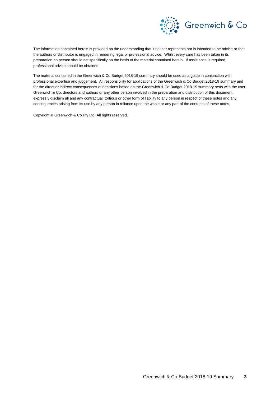

The information contained herein is provided on the understanding that it neither represents nor is intended to be advice or that the authors or distributor is engaged in rendering legal or professional advice. Whilst every care has been taken in its preparation no person should act specifically on the basis of the material contained herein. If assistance is required, professional advice should be obtained.

The material contained in the Greenwich & Co Budget 2018-19 summary should be used as a guide in conjunction with professional expertise and judgement. All responsibility for applications of the Greenwich & Co Budget 2018-19 summary and for the direct or indirect consequences of decisions based on the Greenwich & Co Budget 2018-19 summary rests with the user. Greenwich & Co, directors and authors or any other person involved in the preparation and distribution of this document, expressly disclaim all and any contractual, tortious or other form of liability to any person in respect of these notes and any consequences arising from its use by any person in reliance upon the whole or any part of the contents of these notes.

Copyright © Greenwich & Co Pty Ltd. All rights reserved.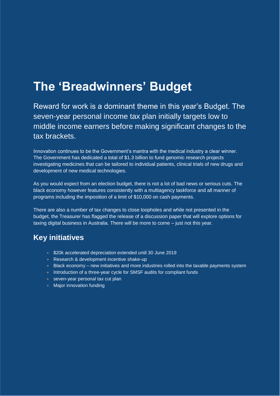# **The 'Breadwinners' Budget**

Reward for work is a dominant theme in this year's Budget. The seven-year personal income tax plan initially targets low to middle income earners before making significant changes to the tax brackets.

Innovation continues to be the Government's mantra with the medical industry a clear winner. The Government has dedicated a total of \$1.3 billion to fund genomic research projects investigating medicines that can be tailored to individual patients, clinical trials of new drugs and development of new medical technologies.

As you would expect from an election budget, there is not a lot of bad news or serious cuts. The black economy however features consistently with a multiagency taskforce and all manner of programs including the imposition of a limit of \$10,000 on cash payments.

There are also a number of tax changes to close loopholes and while not presented in the budget, the Treasurer has flagged the release of a discussion paper that will explore options for taxing digital business in Australia. There will be more to come – just not this year.

### **Key initiatives**

- \$20k accelerated depreciation extended until 30 June 2019
- Research & development incentive shake-up
- Black economy new initiatives and more industries rolled into the taxable payments system
- **Introduction of a three-year cycle for SMSF audits for compliant funds**
- seven-year personal tax cut plan
- Major innovation funding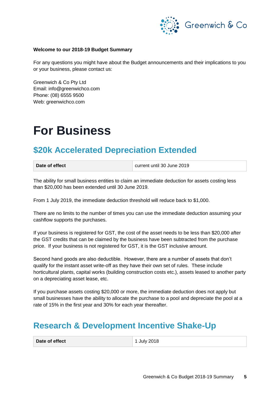

#### **Welcome to our 2018-19 Budget Summary**

For any questions you might have about the Budget announcements and their implications to you or your business, please contact us:

Greenwich & Co Pty Ltd Email: info@greenwichco.com Phone: (08) 6555 9500 Web: [greenwichco.com](http://www.greewichco.com/)

# **For Business**

### **\$20k Accelerated Depreciation Extended**

| Date of effect |  |
|----------------|--|
|                |  |

**Date of effect** current until 30 June 2019

The ability for small business entities to claim an immediate deduction for assets costing less than \$20,000 has been extended until 30 June 2019.

From 1 July 2019, the immediate deduction threshold will reduce back to \$1,000.

There are no limits to the number of times you can use the immediate deduction assuming your cashflow supports the purchases.

If your business is registered for GST, the cost of the asset needs to be less than \$20,000 after the GST credits that can be claimed by the business have been subtracted from the purchase price. If your business is not registered for GST, it is the GST inclusive amount.

Second hand goods are also deductible. However, there are a number of assets that don't qualify for the instant asset write-off as they have their own set of rules. These include horticultural plants, capital works (building construction costs etc.), assets leased to another party on a depreciating asset lease, etc.

If you purchase assets costing \$20,000 or more, the immediate deduction does not apply but small businesses have the ability to allocate the purchase to a pool and depreciate the pool at a rate of 15% in the first year and 30% for each year thereafter.

### **Research & Development Incentive Shake-Up**

| Date of effect | 1 July 2018 |
|----------------|-------------|
|----------------|-------------|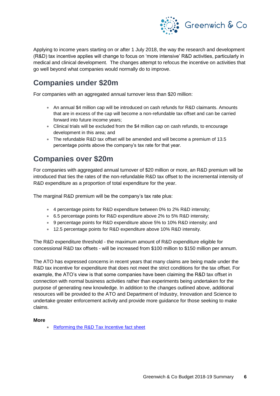

Applying to income years starting on or after 1 July 2018, the way the research and development (R&D) tax incentive applies will change to focus on 'more intensive' R&D activities, particularly in medical and clinical development. The changes attempt to refocus the incentive on activities that go well beyond what companies would normally do to improve.

### **Companies under \$20m**

For companies with an aggregated annual turnover less than \$20 million:

- An annual \$4 million cap will be introduced on cash refunds for R&D claimants. Amounts that are in excess of the cap will become a non-refundable tax offset and can be carried forward into future income years;
- Clinical trials will be excluded from the \$4 million cap on cash refunds, to encourage development in this area; and
- The refundable R&D tax offset will be amended and will become a premium of 13.5 percentage points above the company's tax rate for that year.

### **Companies over \$20m**

For companies with aggregated annual turnover of \$20 million or more, an R&D premium will be introduced that ties the rates of the non-refundable R&D tax offset to the incremental intensity of R&D expenditure as a proportion of total expenditure for the year.

The marginal R&D premium will be the company's tax rate plus:

- 4 percentage points for R&D expenditure between 0% to 2% R&D intensity;
- 6.5 percentage points for R&D expenditure above 2% to 5% R&D intensity;
- 9 percentage points for R&D expenditure above 5% to 10% R&D intensity; and
- 12.5 percentage points for R&D expenditure above 10% R&D intensity.

The R&D expenditure threshold - the maximum amount of R&D expenditure eligible for concessional R&D tax offsets - will be increased from \$100 million to \$150 million per annum.

The ATO has expressed concerns in recent years that many claims are being made under the R&D tax incentive for expenditure that does not meet the strict conditions for the tax offset. For example, the ATO's view is that some companies have been claiming the R&D tax offset in connection with normal business activities rather than experiments being undertaken for the purpose of generating new knowledge. In addition to the changes outlined above, additional resources will be provided to the ATO and Department of Industry, Innovation and Science to undertake greater enforcement activity and provide more guidance for those seeking to make claims.

#### **More**

• [Reforming the R&D Tax Incentive fact sheet](https://budget.gov.au/2018-19/content/factsheets/6-tax-integrity.html)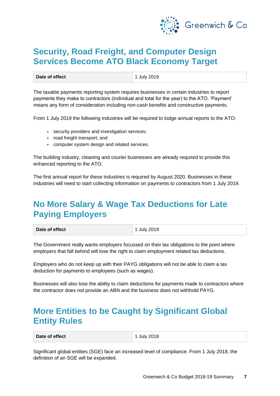

### **Security, Road Freight, and Computer Design Services Become ATO Black Economy Target**

**Date of effect** 1 July 2019

The taxable payments reporting system requires businesses in certain industries to report payments they make to contractors (individual and total for the year) to the ATO. 'Payment' means any form of consideration including non-cash benefits and constructive payments.

From 1 July 2019 the following industries will be required to lodge annual reports to the ATO:

- security providers and investigation services;
- road freight transport; and
- computer system design and related services.

The building industry, cleaning and courier businesses are already required to provide this enhanced reporting to the ATO.

The first annual report for these industries is required by August 2020. Businesses in these industries will need to start collecting information on payments to contractors from 1 July 2019.

## **No More Salary & Wage Tax Deductions for Late Paying Employers**

| Date of effect | $\vert$ 1 July 2019 |
|----------------|---------------------|
|                |                     |

The Government really wants employers focussed on their tax obligations to the point where employers that fall behind will lose the right to claim employment related tax deductions.

Employers who do not keep up with their PAYG obligations will not be able to claim a tax deduction for payments to employees (such as wages).

Businesses will also lose the ability to claim deductions for payments made to contractors where the contractor does not provide an ABN and the business does not withhold PAYG.

### **More Entities to be Caught by Significant Global Entity Rules**

**Date of effect** 2018

Significant global entities (SGE) face an increased level of compliance. From 1 July 2018, the definition of an SGE will be expanded.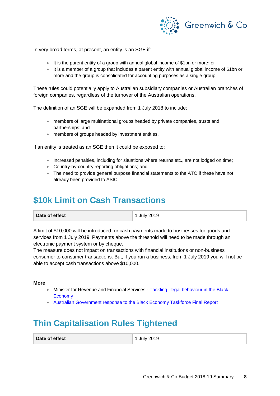

In very broad terms, at present, an entity is an SGE if:

- It is the parent entity of a group with annual global income of \$1bn or more; or
- It is a member of a group that includes a parent entity with annual global income of \$1bn or more and the group is consolidated for accounting purposes as a single group.

These rules could potentially apply to Australian subsidiary companies or Australian branches of foreign companies, regardless of the turnover of the Australian operations.

The definition of an SGE will be expanded from 1 July 2018 to include:

- members of large multinational groups headed by private companies, trusts and partnerships; and
- members of groups headed by investment entities.

If an entity is treated as an SGE then it could be exposed to:

- Increased penalties, including for situations where returns etc., are not lodged on time;
- Country-by-country reporting obligations; and
- The need to provide general purpose financial statements to the ATO if these have not already been provided to ASIC.

### **\$10k Limit on Cash Transactions**

A limit of \$10,000 will be introduced for cash payments made to businesses for goods and services from 1 July 2019. Payments above the threshold will need to be made through an electronic payment system or by cheque.

The measure does not impact on transactions with financial institutions or non-business consumer to consumer transactions. But, if you run a business, from 1 July 2019 you will not be able to accept cash transactions above \$10,000.

#### **More**

- Minister for Revenue and Financial Services [Tackling illegal behaviour in](http://kmo.ministers.treasury.gov.au/media-release/051-2018/) the Black [Economy](http://kmo.ministers.treasury.gov.au/media-release/051-2018/)
- [Australian Government response to the Black Economy Taskforce Final Report](https://treasury.gov.au/publication/p2018-287474/)

## **Thin Capitalisation Rules Tightened**

**Date of effect** 1 July 2019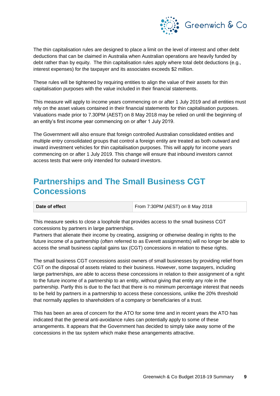

The thin capitalisation rules are designed to place a limit on the level of interest and other debt deductions that can be claimed in Australia when Australian operations are heavily funded by debt rather than by equity. The thin capitalisation rules apply where total debt deductions (e.g., interest expenses) for the taxpayer and its associates exceeds \$2 million.

These rules will be tightened by requiring entities to align the value of their assets for thin capitalisation purposes with the value included in their financial statements.

This measure will apply to income years commencing on or after 1 July 2019 and all entities must rely on the asset values contained in their financial statements for thin capitalisation purposes. Valuations made prior to 7.30PM (AEST) on 8 May 2018 may be relied on until the beginning of an entity's first income year commencing on or after 1 July 2019.

The Government will also ensure that foreign controlled Australian consolidated entities and multiple entry consolidated groups that control a foreign entity are treated as both outward and inward investment vehicles for thin capitalisation purposes. This will apply for income years commencing on or after 1 July 2019. This change will ensure that inbound investors cannot access tests that were only intended for outward investors.

### **Partnerships and The Small Business CGT Concessions**

| Date of effect | From 7:30PM (AEST) on 8 May 2018 |
|----------------|----------------------------------|
|                |                                  |

This measure seeks to close a loophole that provides access to the small business CGT concessions by partners in large partnerships.

Partners that alienate their income by creating, assigning or otherwise dealing in rights to the future income of a partnership (often referred to as Everett assignments) will no longer be able to access the small business capital gains tax (CGT) concessions in relation to these rights.

The small business CGT concessions assist owners of small businesses by providing relief from CGT on the disposal of assets related to their business. However, some taxpayers, including large partnerships, are able to access these concessions in relation to their assignment of a right to the future income of a partnership to an entity, without giving that entity any role in the partnership. Partly this is due to the fact that there is no minimum percentage interest that needs to be held by partners in a partnership to access these concessions, unlike the 20% threshold that normally applies to shareholders of a company or beneficiaries of a trust.

This has been an area of concern for the ATO for some time and in recent years the ATO has indicated that the general anti-avoidance rules can potentially apply to some of these arrangements. It appears that the Government has decided to simply take away some of the concessions in the tax system which make these arrangements attractive.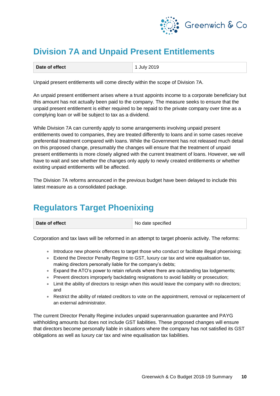

# **Division 7A and Unpaid Present Entitlements**

| Date of effect | 1 July 2019 |
|----------------|-------------|
|                |             |

Unpaid present entitlements will come directly within the scope of Division 7A.

An unpaid present entitlement arises where a trust appoints income to a corporate beneficiary but this amount has not actually been paid to the company. The measure seeks to ensure that the unpaid present entitlement is either required to be repaid to the private company over time as a complying loan or will be subject to tax as a dividend.

While Division 7A can currently apply to some arrangements involving unpaid present entitlements owed to companies, they are treated differently to loans and in some cases receive preferential treatment compared with loans. While the Government has not released much detail on this proposed change, presumably the changes will ensure that the treatment of unpaid present entitlements is more closely aligned with the current treatment of loans. However, we will have to wait and see whether the changes only apply to newly created entitlements or whether existing unpaid entitlements will be affected.

The Division 7A reforms announced in the previous budget have been delayed to include this latest measure as a consolidated package.

## **Regulators Target Phoenixing**

| Date of effect |  |  |  |  |  |  |
|----------------|--|--|--|--|--|--|
|----------------|--|--|--|--|--|--|

No date specified

Corporation and tax laws will be reformed in an attempt to target phoenix activity. The reforms:

- Introduce new phoenix offences to target those who conduct or facilitate illegal phoenixing;
- Extend the Director Penalty Regime to GST, luxury car tax and wine equalisation tax, making directors personally liable for the company's debts;
- Expand the ATO's power to retain refunds where there are outstanding tax lodgements;
- Prevent directors improperly backdating resignations to avoid liability or prosecution;
- Limit the ability of directors to resign when this would leave the company with no directors; and
- Restrict the ability of related creditors to vote on the appointment, removal or replacement of an external administrator.

The current Director Penalty Regime includes unpaid superannuation guarantee and PAYG withholding amounts but does not include GST liabilities. These proposed changes will ensure that directors become personally liable in situations where the company has not satisfied its GST obligations as well as luxury car tax and wine equalisation tax liabilities.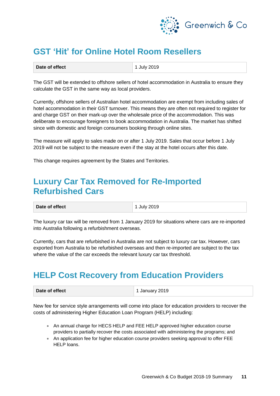

# **GST 'Hit' for Online Hotel Room Resellers**

| Date of effect | 1 July 2019 |
|----------------|-------------|
|                |             |

The GST will be extended to offshore sellers of hotel accommodation in Australia to ensure they calculate the GST in the same way as local providers.

Currently, offshore sellers of Australian hotel accommodation are exempt from including sales of hotel accommodation in their GST turnover. This means they are often not required to register for and charge GST on their mark-up over the wholesale price of the accommodation. This was deliberate to encourage foreigners to book accommodation in Australia. The market has shifted since with domestic and foreign consumers booking through online sites.

The measure will apply to sales made on or after 1 July 2019. Sales that occur before 1 July 2019 will not be subject to the measure even if the stay at the hotel occurs after this date.

This change requires agreement by the States and Territories.

### **Luxury Car Tax Removed for Re-Imported Refurbished Cars**

**Date of effect** 1 July 2019

The luxury car tax will be removed from 1 January 2019 for situations where cars are re-imported into Australia following a refurbishment overseas.

Currently, cars that are refurbished in Australia are not subject to luxury car tax. However, cars exported from Australia to be refurbished overseas and then re-imported are subject to the tax where the value of the car exceeds the relevant luxury car tax threshold.

### **HELP Cost Recovery from Education Providers**

| Date of effect | 1 January 2019 |
|----------------|----------------|
|                |                |

New fee for service style arrangements will come into place for education providers to recover the costs of administering Higher Education Loan Program (HELP) including:

- An annual charge for HECS HELP and FEE HELP approved higher education course providers to partially recover the costs associated with administering the programs; and
- An application fee for higher education course providers seeking approval to offer FEE HELP loans.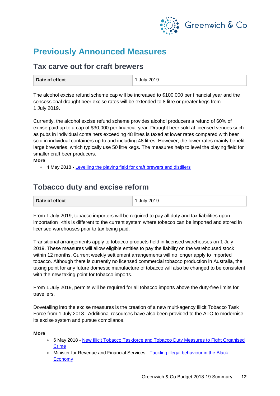

### **Previously Announced Measures**

### **Tax carve out for craft brewers**

| Date of effect | 1 July 2019 |
|----------------|-------------|
|----------------|-------------|

The alcohol excise refund scheme cap will be increased to \$100,000 per financial year and the concessional draught beer excise rates will be extended to 8 litre or greater kegs from 1 July 2019.

Currently, the alcohol excise refund scheme provides alcohol producers a refund of 60% of excise paid up to a cap of \$30,000 per financial year. Draught beer sold at licensed venues such as pubs in individual containers exceeding 48 litres is taxed at lower rates compared with beer sold in individual containers up to and including 48 litres. However, the lower rates mainly benefit large breweries, which typically use 50 litre kegs. The measures help to level the playing field for smaller craft beer producers.

#### **More**

• 4 May 2018 - [Levelling the playing field for craft brewers and distillers](http://sjm.ministers.treasury.gov.au/media-release/043-2018/)

### **Tobacco duty and excise reform**

From 1 July 2019, tobacco importers will be required to pay all duty and tax liabilities upon importation -this is different to the current system where tobacco can be imported and stored in licensed warehouses prior to tax being paid.

Transitional arrangements apply to tobacco products held in licensed warehouses on 1 July 2019. These measures will allow eligible entities to pay the liability on the warehoused stock within 12 months. Current weekly settlement arrangements will no longer apply to imported tobacco. Although there is currently no licensed commercial tobacco production in Australia, the taxing point for any future domestic manufacture of tobacco will also be changed to be consistent with the new taxing point for tobacco imports.

From 1 July 2019, permits will be required for all tobacco imports above the duty-free limits for travellers.

Dovetailing into the excise measures is the creation of a new multi-agency Illicit Tobacco Task Force from 1 July 2018. Additional resources have also been provided to the ATO to modernise its excise system and pursue compliance.

#### **More**

- 6 May 2018 [New Illicit Tobacco Taskforce and Tobacco Duty Measures to Fight Organised](http://kmo.ministers.treasury.gov.au/media-release/049-2018/)  [Crime](http://kmo.ministers.treasury.gov.au/media-release/049-2018/)
- Minister for Revenue and Financial Services Tackling illegal behaviour in the Black [Economy](http://kmo.ministers.treasury.gov.au/media-release/051-2018/)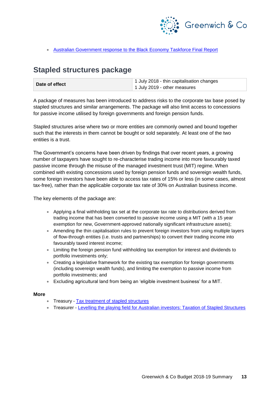

#### • [Australian Government response to the Black Economy Taskforce Final Report](https://treasury.gov.au/publication/p2018-287474/)

### **Stapled structures package**

| Date of effect | 1 July 2018 - thin capitalisation changes |  |
|----------------|-------------------------------------------|--|
|                | 1 July 2019 - other measures              |  |

A package of measures has been introduced to address risks to the corporate tax base posed by stapled structures and similar arrangements. The package will also limit access to concessions for passive income utilised by foreign governments and foreign pension funds.

Stapled structures arise where two or more entities are commonly owned and bound together such that the interests in them cannot be bought or sold separately. At least one of the two entities is a trust.

The Government's concerns have been driven by findings that over recent years, a growing number of taxpayers have sought to re-characterise trading income into more favourably taxed passive income through the misuse of the managed investment trust (MIT) regime. When combined with existing concessions used by foreign pension funds and sovereign wealth funds, some foreign investors have been able to access tax rates of 15% or less (in some cases, almost tax-free), rather than the applicable corporate tax rate of 30% on Australian business income.

The key elements of the package are:

- Applying a final withholding tax set at the corporate tax rate to distributions derived from trading income that has been converted to passive income using a MIT (with a 15 year exemption for new, Government-approved nationally significant infrastructure assets);
- Amending the thin capitalisation rules to prevent foreign investors from using multiple layers of flow-through entities (i.e. trusts and partnerships) to convert their trading income into favourably taxed interest income;
- Limiting the foreign pension fund withholding tax exemption for interest and dividends to portfolio investments only;
- Creating a legislative framework for the existing tax exemption for foreign governments (including sovereign wealth funds), and limiting the exemption to passive income from portfolio investments; and
- Excluding agricultural land from being an 'eligible investment business' for a MIT.

#### **More**

- Treasury [Tax treatment of stapled structures](https://treasury.gov.au/publication/p2018-t273732/)
- Treasurer [Levelling the playing field for Australian investors: Taxation of Stapled Structures](http://sjm.ministers.treasury.gov.au/media-release/024-2018/)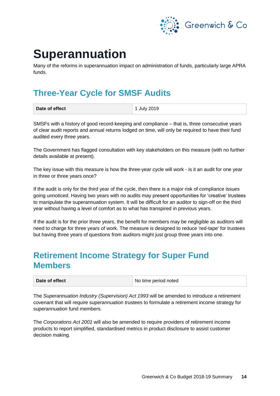

# **Superannuation**

Many of the reforms in superannuation impact on administration of funds, particularly large APRA funds.

# **Three-Year Cycle for SMSF Audits**

| Date of effect | 1 July 2019 |
|----------------|-------------|
|                |             |

SMSFs with a history of good record-keeping and compliance – that is, three consecutive years of clear audit reports and annual returns lodged on time, will only be required to have their fund audited every three years.

The Government has flagged consultation with key stakeholders on this measure (with no further details available at present).

The key issue with this measure is how the three-year cycle will work - is it an audit for one year in three or three years once?

If the audit is only for the third year of the cycle, then there is a major risk of compliance issues going unnoticed. Having two years with no audits may present opportunities for 'creative' trustees to manipulate the superannuation system. It will be difficult for an auditor to sign-off on the third year without having a level of comfort as to what has transpired in previous years.

If the audit is for the prior three years, the benefit for members may be negligible as auditors will need to charge for three years of work. The measure is designed to reduce 'red-tape' for trustees but having three years of questions from auditors might just group three years into one.

### **Retirement Income Strategy for Super Fund Members**

| Date of effect | No time period noted |
|----------------|----------------------|
|----------------|----------------------|

The *Superannuation Industry (Supervision) Act 1993* will be amended to introduce a retirement covenant that will require superannuation trustees to formulate a retirement income strategy for superannuation fund members.

The *Corporations Act 2001* will also be amended to require providers of retirement income products to report simplified, standardised metrics in product disclosure to assist customer decision making.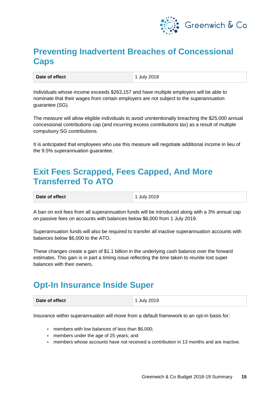

## **Preventing Inadvertent Breaches of Concessional Caps**

Individuals whose income exceeds \$263,157 and have multiple employers will be able to nominate that their wages from certain employers are not subject to the superannuation guarantee (SG).

The measure will allow eligible individuals to avoid unintentionally breaching the \$25,000 annual concessional contributions cap (and incurring excess contributions tax) as a result of multiple compulsory SG contributions.

It is anticipated that employees who use this measure will negotiate additional income in lieu of the 9.5% superannuation guarantee.

### **Exit Fees Scrapped, Fees Capped, And More Transferred To ATO**

| Date of effect<br><b>July 2019</b> |  |
|------------------------------------|--|
|------------------------------------|--|

A ban on exit fees from all superannuation funds will be introduced along with a 3% annual cap on passive fees on accounts with balances below \$6,000 from 1 July 2019.

Superannuation funds will also be required to transfer all inactive superannuation accounts with balances below \$6,000 to the ATO.

These changes create a gain of \$1.1 billion in the underlying cash balance over the forward estimates. This gain is in part a timing issue reflecting the time taken to reunite lost super balances with their owners.

### **Opt-In Insurance Inside Super**

Insurance within superannuation will move from a default framework to an opt-in basis for:

- members with low balances of less than \$6,000;
- members under the age of 25 years; and
- members whose accounts have not received a contribution in 13 months and are inactive.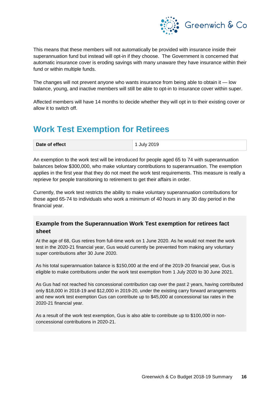

This means that these members will not automatically be provided with insurance inside their superannuation fund but instead will opt-in if they choose. The Government is concerned that automatic insurance cover is eroding savings with many unaware they have insurance within their fund or within multiple funds.

The changes will not prevent anyone who wants insurance from being able to obtain it — low balance, young, and inactive members will still be able to opt-in to insurance cover within super.

Affected members will have 14 months to decide whether they will opt in to their existing cover or allow it to switch off.

### **Work Test Exemption for Retirees**

An exemption to the work test will be introduced for people aged 65 to 74 with superannuation balances below \$300,000, who make voluntary contributions to superannuation. The exemption applies in the first year that they do not meet the work test requirements. This measure is really a reprieve for people transitioning to retirement to get their affairs in order.

Currently, the work test restricts the ability to make voluntary superannuation contributions for those aged 65-74 to individuals who work a minimum of 40 hours in any 30 day period in the financial year.

#### **Example from the Superannuation Work Test exemption for retirees fact sheet**

At the age of 68, Gus retires from full-time work on 1 June 2020. As he would not meet the work test in the 2020-21 financial year, Gus would currently be prevented from making any voluntary super contributions after 30 June 2020.

As his total superannuation balance is \$150,000 at the end of the 2019-20 financial year, Gus is eligible to make contributions under the work test exemption from 1 July 2020 to 30 June 2021.

As Gus had not reached his concessional contribution cap over the past 2 years, having contributed only \$18,000 in 2018-19 and \$12,000 in 2019-20, under the existing carry forward arrangements and new work test exemption Gus can contribute up to \$45,000 at concessional tax rates in the 2020-21 financial year.

As a result of the work test exemption, Gus is also able to contribute up to \$100,000 in nonconcessional contributions in 2020-21.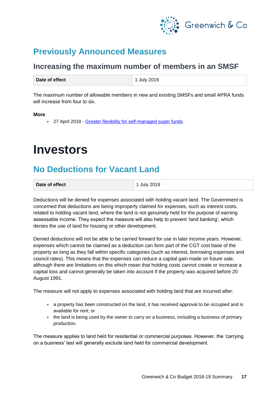

### **Previously Announced Measures**

### **Increasing the maximum number of members in an SMSF**

The maximum number of allowable members in new and existing SMSFs and small APRA funds will increase from four to six.

#### **More**

• 27 April 2018 - [Greater flexibility for self-managed super funds](http://kmo.ministers.treasury.gov.au/media-release/042-2018/)

# **Investors**

## **No Deductions for Vacant Land**

| Date of effect | 1 July 2019 |
|----------------|-------------|
|                |             |

Deductions will be denied for expenses associated with holding vacant land. The Government is concerned that deductions are being improperly claimed for expenses, such as interest costs, related to holding vacant land, where the land is not genuinely held for the purpose of earning assessable income. They expect the measure will also help to prevent 'land banking', which denies the use of land for housing or other development.

Denied deductions will not be able to be carried forward for use in later income years. However, expenses which cannot be claimed as a deduction can form part of the CGT cost base of the property as long as they fall within specific categories (such as interest, borrowing expenses and council rates). This means that the expenses can reduce a capital gain made on future sale, although there are limitations on this which mean that holding costs cannot create or increase a capital loss and cannot generally be taken into account if the property was acquired before 20 August 1991.

The measure will not apply to expenses associated with holding land that are incurred after:

- a property has been constructed on the land, it has received approval to be occupied and is available for rent; or
- the land is being used by the owner to carry on a business, including a business of primary production.

The measure applies to land held for residential or commercial purposes. However, the 'carrying on a business' test will generally exclude land held for commercial development.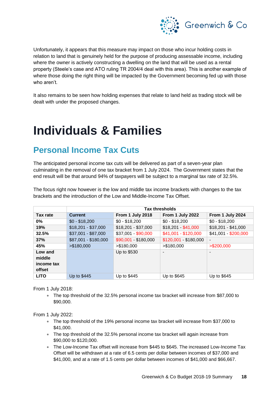

Unfortunately, it appears that this measure may impact on those who incur holding costs in relation to land that is genuinely held for the purpose of producing assessable income, including where the owner is actively constructing a dwelling on the land that will be used as a rental property (Steele's case and ATO ruling TR 2004/4 deal with this area). This is another example of where those doing the right thing will be impacted by the Government becoming fed up with those who aren't.

It also remains to be seen how holding expenses that relate to land held as trading stock will be dealt with under the proposed changes.

# **Individuals & Families**

# **Personal Income Tax Cuts**

The anticipated personal income tax cuts will be delivered as part of a seven-year plan culminating in the removal of one tax bracket from 1 July 2024. The Government states that the end result will be that around 94% of taxpayers will be subject to a marginal tax rate of 32.5%.

|             | <b>Tax thresholds</b> |                      |                          |                      |
|-------------|-----------------------|----------------------|--------------------------|----------------------|
| Tax rate    | <b>Current</b>        | From 1 July 2018     | From 1 July 2022         | From 1 July 2024     |
| $0\%$       | $$0 - $18,200$        | $$0 - $18,200$       | $$0 - $18,200$           | $$0 - $18,200$       |
| 19%         | $$18,201 - $37,000$   | $$18,201 - $37,000$  |                          | $$18,201 - $41,000$  |
| 32.5%       | $$37,001 - $87,000$   | \$37,001 \$90,000    | \$41,001 - \$120,000     | \$41,001 - \$200,000 |
| 37%         | \$87,001 - \$180,000  | \$90,001 - \$180,000 | $$120,001 - $180,000$    |                      |
| 45%         | > \$180,000           | > \$180,000          | > \$180,000              | $>$ \$200,000        |
| Low and     |                       | Up to \$530          | $\overline{\phantom{0}}$ |                      |
| middle      |                       |                      |                          |                      |
| income tax  |                       |                      |                          |                      |
| offset      |                       |                      |                          |                      |
| <b>LITO</b> | Up to \$445           | Up to \$445          | Up to \$645              | Up to \$645          |

The focus right now however is the low and middle tax income brackets with changes to the tax brackets and the introduction of the Low and Middle-Income Tax Offset.

From 1 July 2018:

• The top threshold of the 32.5% personal income tax bracket will increase from \$87,000 to \$90,000.

From 1 July 2022:

- The top threshold of the 19% personal income tax bracket will increase from \$37,000 to \$41,000.
- The top threshold of the 32.5% personal income tax bracket will again increase from \$90,000 to \$120,000.
- The Low-Income Tax offset will increase from \$445 to \$645. The increased Low-Income Tax Offset will be withdrawn at a rate of 6.5 cents per dollar between incomes of \$37,000 and \$41,000, and at a rate of 1.5 cents per dollar between incomes of \$41,000 and \$66,667.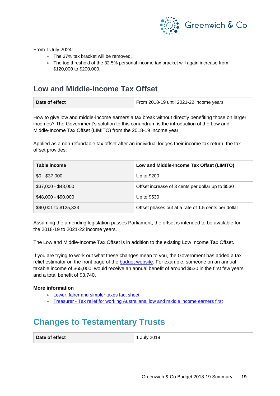

From 1 July 2024:

- The 37% tax bracket will be removed.
- The top threshold of the 32.5% personal income tax bracket will again increase from \$120,000 to \$200,000.

### **Low and Middle-Income Tax Offset**

| Date of effect | From 2018-19 until 2021-22 income years |
|----------------|-----------------------------------------|
|                |                                         |

How to give low and middle-income earners a tax break without directly benefiting those on larger incomes? The Government's solution to this conundrum is the introduction of the Low and Middle-Income Tax Offset (LIMITO) from the 2018-19 income year.

Applied as a non-refundable tax offset after an individual lodges their income tax return, the tax offset provides:

| Table income          | Low and Middle-Income Tax Offset (LIMITO)           |
|-----------------------|-----------------------------------------------------|
| $$0 - $37,000$        | Up to \$200                                         |
| \$37,000 - \$48,000   | Offset increase of 3 cents per dollar up to \$530   |
| \$48,000 - \$90,000   | Up to \$530                                         |
| \$90,001 to \$125,333 | Offset phases out at a rate of 1.5 cents per dollar |

Assuming the amending legislation passes Parliament, the offset is intended to be available for the 2018-19 to 2021-22 income years.

The Low and Middle-Income Tax Offset is in addition to the existing Low Income Tax Offset.

If you are trying to work out what these changes mean to you, the Government has added a tax relief estimator on the front page of the **budget website**. For example, someone on an annual taxable income of \$65,000, would receive an annual benefit of around \$530 in the first few years and a total benefit of \$3,740.

#### **More information**

- [Lower, fairer and simpler taxes fact sheet](https://budget.gov.au/2018-19/content/factsheets/7-pitp.html)
- Treasurer [Tax relief for working Australians, low and middle income earners first](http://sjm.ministers.treasury.gov.au/media-release/045-2018/)

## **Changes to Testamentary Trusts**

**Date of effect** 1 July 2019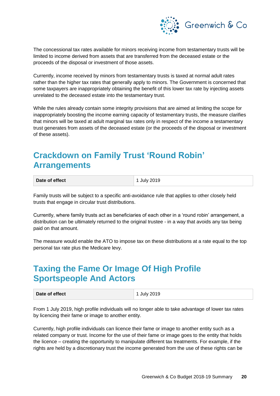

The concessional tax rates available for minors receiving income from testamentary trusts will be limited to income derived from assets that are transferred from the deceased estate or the proceeds of the disposal or investment of those assets.

Currently, income received by minors from testamentary trusts is taxed at normal adult rates rather than the higher tax rates that generally apply to minors. The Government is concerned that some taxpayers are inappropriately obtaining the benefit of this lower tax rate by injecting assets unrelated to the deceased estate into the testamentary trust.

While the rules already contain some integrity provisions that are aimed at limiting the scope for inappropriately boosting the income earning capacity of testamentary trusts, the measure clarifies that minors will be taxed at adult marginal tax rates only in respect of the income a testamentary trust generates from assets of the deceased estate (or the proceeds of the disposal or investment of these assets).

## **Crackdown on Family Trust 'Round Robin' Arrangements**

| Date of effect | 1 July 2019 |
|----------------|-------------|
|                |             |

Family trusts will be subject to a specific anti-avoidance rule that applies to other closely held trusts that engage in circular trust distributions.

Currently, where family trusts act as beneficiaries of each other in a 'round robin' arrangement, a distribution can be ultimately returned to the original trustee - in a way that avoids any tax being paid on that amount.

The measure would enable the ATO to impose tax on these distributions at a rate equal to the top personal tax rate plus the Medicare levy.

## **Taxing the Fame Or Image Of High Profile Sportspeople And Actors**

| Date of effect | 1 July 2019 |
|----------------|-------------|
|----------------|-------------|

From 1 July 2019, high profile individuals will no longer able to take advantage of lower tax rates by licencing their fame or image to another entity.

Currently, high profile individuals can licence their fame or image to another entity such as a related company or trust. Income for the use of their fame or image goes to the entity that holds the licence – creating the opportunity to manipulate different tax treatments. For example, if the rights are held by a discretionary trust the income generated from the use of these rights can be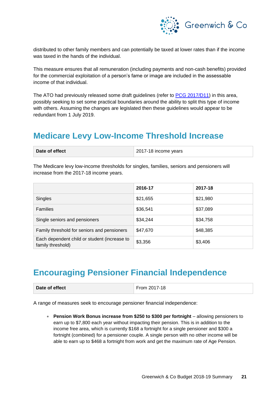

distributed to other family members and can potentially be taxed at lower rates than if the income was taxed in the hands of the individual.

This measure ensures that all remuneration (including payments and non-cash benefits) provided for the commercial exploitation of a person's fame or image are included in the assessable income of that individual.

The ATO had previously released some draft guidelines (refer to [PCG 2017/D11\)](https://www.ato.gov.au/law/view/document?DocID=COG/PCG201711/NAT/ATO/00001) in this area, possibly seeking to set some practical boundaries around the ability to split this type of income with others. Assuming the changes are legislated then these guidelines would appear to be redundant from 1 July 2019.

### **Medicare Levy Low-Income Threshold Increase**

| Date of effect | 2017-18 income years |
|----------------|----------------------|
|----------------|----------------------|

The Medicare levy low-income thresholds for singles, families, seniors and pensioners will increase from the 2017-18 income years.

|                                                                   | 2016-17  | 2017-18  |
|-------------------------------------------------------------------|----------|----------|
| Singles                                                           | \$21,655 | \$21,980 |
| <b>Families</b>                                                   | \$36,541 | \$37,089 |
| Single seniors and pensioners                                     | \$34,244 | \$34,758 |
| Family threshold for seniors and pensioners                       | \$47,670 | \$48,385 |
| Each dependent child or student (increase to<br>family threshold) | \$3,356  | \$3,406  |

### **Encouraging Pensioner Financial Independence**

| Date of effect | From 2017-18 |
|----------------|--------------|
|                |              |

A range of measures seek to encourage pensioner financial independence:

• **Pension Work Bonus increase from \$250 to \$300 per fortnight** – allowing pensioners to earn up to \$7,800 each year without impacting their pension. This is in addition to the income free area, which is currently \$168 a fortnight for a single pensioner and \$300 a fortnight (combined) for a pensioner couple. A single person with no other income will be able to earn up to \$468 a fortnight from work and get the maximum rate of Age Pension.